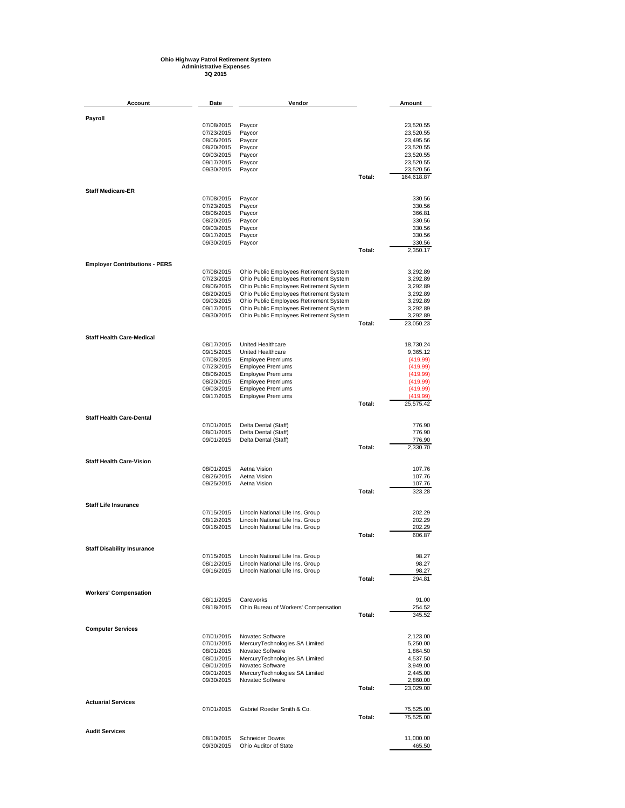## **Ohio Highway Patrol Retirement System Administrative Expenses 3Q 2015**

**Account Date Vendor Amount Payroll** 07/08/2015 Paycor 23,520.55 07/23/2015 Paycor 23,520.55 08/06/2015 Paycor<br>08/06/2015 Paycor 23,495.56<br>08/20/2015 Paycor 23,520.55 08/20/2015 Paycor 23,520.55<br>09/03/2015 Paycor 23,520.55 09/03/2015 Paycor 23,520.55 09/17/2015 Paycor 23,520.55<br>09/30/2015 Paycor 23,520.55<br>09/30/2015 Paycor 23,520.56 on 23,02015 Paycor 23,520.566 Paycor 23,520.566 Paycor 23,520.566 Paycor 23,520.566 Paycor 23,520.56 **Total:** 164,618.87 **Staff Medicare-ER** 07/08/2015 Paycor 330.56 07/23/2015 Paycor<br>07/23/2015 Paycor 330.56<br>08/06/2015 Paycor 330.56 08/06/2015 Paycor 2012<br>08/06/2015 Paycor 366.81<br>08/20/2015 Paycor 330.56 08/20/2015 Paycor 330.56<br>09/03/2015 Paycor 330.56 09/03/2015 Paycor 330.56 09/17/2015 Paycor 330.56 09/30/2015 Paycor 330.56 **Total:** 2,350.17 **Employer Contributions - PERS** 07/08/2015 Ohio Public Employees Retirement System 3,292.89<br>07/23/2015 Ohio Public Employees Retirement System 3,292.89<br>08/06/2015 Ohio Public Employees Retirement System 3,292.89 07/23/2015 Ohio Public Employees Retirement System 3,292.89 08/06/2015 Ohio Public Employees Retirement System 3,292.89 08/20/2015 Ohio Public Employees Retirement System 1970/2012015 Ohio Public Employees Retirement System 3,292.89<br>09/03/2015 Ohio Public Employees Retirement System 3,292.89 09/03/2015 Ohio Public Employees Retirement System 3,292.89<br>09/17/2015 Ohio Public Employees Retirement System 3,292.89 09/17/2015 Ohio Public Employees Retirement System 3,292.89 Ohio Public Employees Retirement System **Total:** 23,050.23 **Staff Health Care-Medical** 08/17/2015 United Healthcare 18,730.24<br>09/15/2015 United Healthcare 9,365.12<br>07/08/2015 Employee Premiums (419.99) 09/15/2015 United Healthcare<br>07/08/2015 Employee Premiun 07/08/2015 Employee Premiums (419.99)<br>07/23/2015 Employee Premiums (419.99) (419.99) 07/23/2015 Employee Premiums (419.99)<br>07/23/2015 Employee Premiums (419.99) (419.99) (419.99) 08/06/2015 Employee Premiums (419.99)<br>08/20/2015 Employee Premiums (419.99) (419.99) 08/20/2015 Employee Premiums (419.99)<br>09/03/2015 Employee Premiums (419.99) (419.99) 09/03/2015 Employee Premiums (419.99)<br>09/17/2015 Employee Premiums (419.99) Employee Premiums (419.99) Total: **Total:** 25,575.42 **Staff Health Care-Dental** 07/01/2015 Delta Dental (Staff)<br>08/01/2015 Delta Dental (Staff) 776.90 08/01/2015 Delta Dental (Staff)<br>09/01/2015 Delta Dental (Staff) 776.90 Delta Dental (Staff)<br> **Delta Dental (Staff) 70tal**: **Total:** 2,330.70 **Staff Health Care-Vision** 08/01/2015 Aetna Vision 107.76 08/26/2015 Aetna Vision 107.76<br>09/25/2015 Aetna Vision 107.76 107.76 107.76 09/25/2015 Aetna Vision 107.76 **Total:** 323.28 **Staff Life Insurance** 07/15/2015 Lincoln National Life Ins. Group<br>08/12/2015 Lincoln National Life Ins. Group 202.29 08/12/2015 Lincoln National Life Ins. Group 202.29<br>09/16/2015 Lincoln National Life Ins. Group 202.29<br>202.29 202.29 Lincoln National Life Ins. Group **2016 Total:** 606.87 **Staff Disability Insurance** 07/15/2015 Lincoln National Life Ins. Group<br>08/12/2015 Lincoln National Life Ins. Group 98.27 98.27 08/12/2015 Lincoln National Life Ins. Group 98.27<br>09/16/2015 Lincoln National Life Ins. Group 98.27<br>98.27 99.27 Lincoln National Life Ins. Group 70tal: **Total:** 294.81 **Workers' Compensation** 08/11/2015 Careworks 91.00<br>08/18/2015 Ohio Bureau of Workers' Compensation 91.00 254.52 Ohio Bureau of Workers' Compensation<br>Total: **Total:** 345.52 **Computer Services** 07/01/2015 Novatec Software<br>07/01/2015 MercuryTechnologies SA Limited 5,250.00 07/01/2015 MercuryTechnologies SA Limited 5,250.00<br>08/01/2015 MercuryTechnologies SA Limited 5,250.00<br>1.864.50 08/01/2015 Novatec Software 1,864.50<br>08/01/2015 MercurvTechnologies SA Limited 1,537.50 08/01/2015 MercuryTechnologies SA Limited 4,537.50<br>09/01/2015 Novatec Software 4,537.50 09/01/2015 Novatec Software 3,949.00<br>09/01/2015 MercuryTechnologies SA Limited 2,445.00 09/01/2015 MercuryTechnologies SA Limited 2,445.00<br>09/30/2015 Novatec Software 2,860.00 Novatec Software **Total:** 23,029.00 **Actuarial Services** 07/01/2015 Gabriel Roeder Smith & Co. **75,525.00** Total: 75,525.00 **Total:** 75,525.00 **Audit Services** 08/10/2015 Schneider Downs 11,000.00 Ohio Auditor of State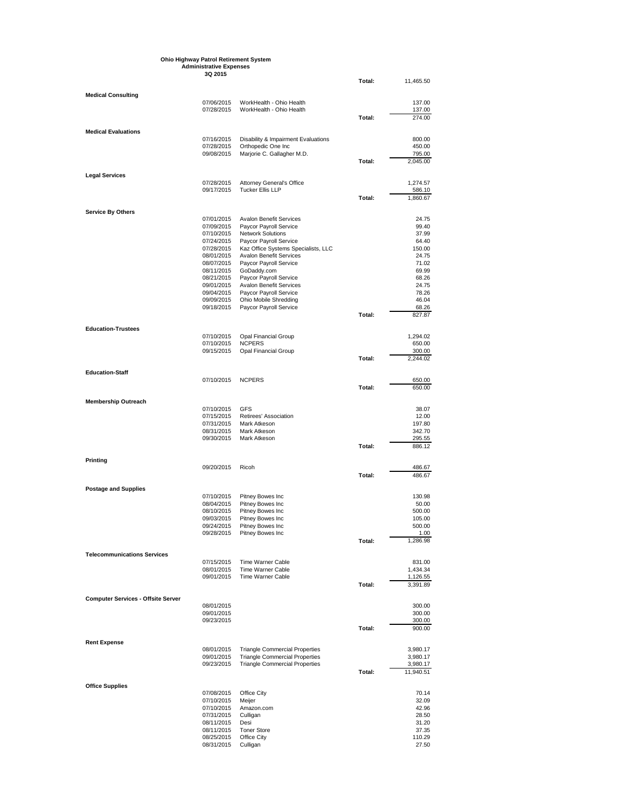|                                           | <b>Ohio Highway Patrol Retirement System</b> |                                                               |        |                      |
|-------------------------------------------|----------------------------------------------|---------------------------------------------------------------|--------|----------------------|
|                                           | <b>Administrative Expenses</b><br>3Q 2015    |                                                               |        |                      |
|                                           |                                              |                                                               | Total: | 11,465.50            |
| <b>Medical Consulting</b>                 |                                              |                                                               |        |                      |
|                                           | 07/06/2015                                   | WorkHealth - Ohio Health                                      |        | 137.00               |
|                                           | 07/28/2015                                   | WorkHealth - Ohio Health                                      |        | 137.00               |
|                                           |                                              |                                                               | Total: | 274.00               |
| <b>Medical Evaluations</b>                |                                              |                                                               |        |                      |
|                                           | 07/16/2015<br>07/28/2015                     | Disability & Impairment Evaluations<br>Orthopedic One Inc     |        | 800.00<br>450.00     |
|                                           | 09/08/2015                                   | Marjorie C. Gallagher M.D.                                    |        | 795.00               |
|                                           |                                              |                                                               | Total: | 2,045.00             |
| <b>Legal Services</b>                     |                                              |                                                               |        |                      |
|                                           | 07/28/2015                                   | <b>Attorney General's Office</b>                              |        | 1,274.57             |
|                                           | 09/17/2015                                   | <b>Tucker Ellis LLP</b>                                       | Total: | 586.10<br>1,860.67   |
|                                           |                                              |                                                               |        |                      |
| <b>Service By Others</b>                  | 07/01/2015                                   | <b>Avalon Benefit Services</b>                                |        | 24.75                |
|                                           | 07/09/2015                                   | Paycor Payroll Service                                        |        | 99.40                |
|                                           | 07/10/2015                                   | <b>Network Solutions</b>                                      |        | 37.99<br>64.40       |
|                                           | 07/24/2015<br>07/28/2015                     | Paycor Payroll Service<br>Kaz Office Systems Specialists, LLC |        | 150.00               |
|                                           | 08/01/2015                                   | <b>Avalon Benefit Services</b>                                |        | 24.75                |
|                                           | 08/07/2015                                   | Paycor Payroll Service                                        |        | 71.02                |
|                                           | 08/11/2015<br>08/21/2015                     | GoDaddy.com<br>Paycor Payroll Service                         |        | 69.99<br>68.26       |
|                                           | 09/01/2015                                   | <b>Avalon Benefit Services</b>                                |        | 24.75                |
|                                           | 09/04/2015                                   | Paycor Payroll Service                                        |        | 78.26                |
|                                           | 09/09/2015<br>09/18/2015                     | Ohio Mobile Shredding<br>Paycor Payroll Service               |        | 46.04<br>68.26       |
|                                           |                                              |                                                               | Total: | 827.87               |
|                                           |                                              |                                                               |        |                      |
| <b>Education-Trustees</b>                 | 07/10/2015                                   | <b>Opal Financial Group</b>                                   |        | 1,294.02             |
|                                           | 07/10/2015                                   | <b>NCPERS</b>                                                 |        | 650.00               |
|                                           | 09/15/2015                                   | <b>Opal Financial Group</b>                                   | Total: | 300.00               |
|                                           |                                              |                                                               |        | 2,244.02             |
| <b>Education-Staff</b>                    |                                              |                                                               |        |                      |
|                                           | 07/10/2015                                   | <b>NCPERS</b>                                                 | Total: | 650.00<br>650.00     |
|                                           |                                              |                                                               |        |                      |
| <b>Membership Outreach</b>                | 07/10/2015                                   | GFS                                                           |        | 38.07                |
|                                           | 07/15/2015                                   | Retirees' Association                                         |        | 12.00                |
|                                           | 07/31/2015                                   | Mark Atkeson                                                  |        | 197.80               |
|                                           | 08/31/2015<br>09/30/2015                     | Mark Atkeson<br>Mark Atkeson                                  |        | 342.70<br>295.55     |
|                                           |                                              |                                                               | Total: | 886.12               |
|                                           |                                              |                                                               |        |                      |
| Printing                                  | 09/20/2015                                   | Ricoh                                                         |        | 486.67               |
|                                           |                                              |                                                               | Total: | 486.67               |
| <b>Postage and Supplies</b>               |                                              |                                                               |        |                      |
|                                           | 07/10/2015                                   | Pitney Bowes Inc                                              |        | 130.98               |
|                                           | 08/04/2015                                   | Pitney Bowes Inc                                              |        | 50.00                |
|                                           | 08/10/2015                                   | Pitney Bowes Inc<br>Pitney Bowes Inc                          |        | 500.00<br>105.00     |
|                                           | 09/03/2015<br>09/24/2015                     | Pitney Bowes Inc                                              |        | 500.00               |
|                                           | 09/28/2015                                   | Pitney Bowes Inc                                              |        | 1.00                 |
|                                           |                                              |                                                               | Total: | 1,286.98             |
| <b>Telecommunications Services</b>        |                                              |                                                               |        |                      |
|                                           | 07/15/2015                                   | <b>Time Warner Cable</b>                                      |        | 831.00               |
|                                           | 08/01/2015<br>09/01/2015                     | <b>Time Warner Cable</b><br>Time Warner Cable                 |        | 1,434.34<br>1,126.55 |
|                                           |                                              |                                                               | Total: | 3,391.89             |
| <b>Computer Services - Offsite Server</b> |                                              |                                                               |        |                      |
|                                           | 08/01/2015                                   |                                                               |        | 300.00               |
|                                           | 09/01/2015                                   |                                                               |        | 300.00               |
|                                           | 09/23/2015                                   |                                                               | Total: | 300.00<br>900.00     |
|                                           |                                              |                                                               |        |                      |
| <b>Rent Expense</b>                       | 08/01/2015                                   | <b>Triangle Commercial Properties</b>                         |        | 3,980.17             |
|                                           | 09/01/2015                                   | <b>Triangle Commercial Properties</b>                         |        | 3,980.17             |
|                                           | 09/23/2015                                   | <b>Triangle Commercial Properties</b>                         |        | 3,980.17             |
|                                           |                                              |                                                               | Total: | 11,940.51            |
| <b>Office Supplies</b>                    |                                              |                                                               |        |                      |
|                                           | 07/08/2015                                   | Office City                                                   |        | 70.14                |
|                                           | 07/10/2015<br>07/10/2015                     | Meijer<br>Amazon.com                                          |        | 32.09<br>42.96       |
|                                           | 07/31/2015                                   | Culligan                                                      |        | 28.50                |
|                                           | 08/11/2015                                   | Desi                                                          |        | 31.20                |
|                                           | 08/11/2015<br>08/25/2015                     | <b>Toner Store</b><br>Office City                             |        | 37.35<br>110.29      |
|                                           | 08/31/2015                                   | Culligan                                                      |        | 27.50                |